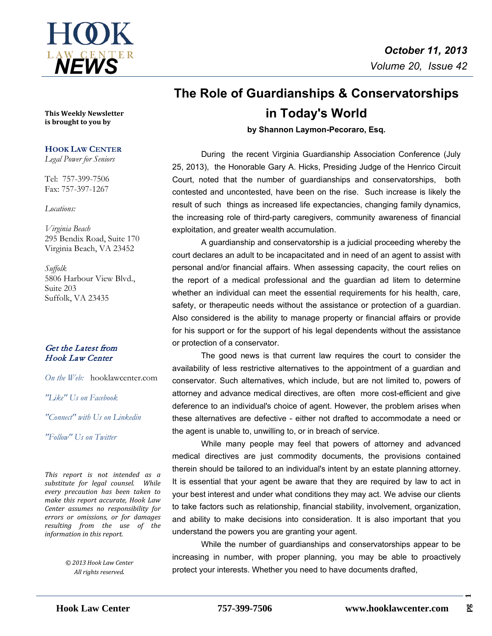

**This Weekly Newsletter is brought to you by** 

### **HOOK LAW CENTER**

*Legal Power for Seniors*

Tel: 757-399-7506 Fax: 757-397-1267

#### *Locations:*

*Virginia Beach* 295 Bendix Road, Suite 170 Virginia Beach, VA 23452

*Suffolk* 5806 Harbour View Blvd., Suite 203 Suffolk, VA 23435

### Get the Latest from Hook Law Center

*On the Web:* [hooklawcenter.com](http://www.hooklawcenter.com/)

*"Like" Us on Facebook*

*"Connect" with Us on Linkedin*

*Follow*" Us on Ti *"Follow" Us on Twitter*

*This report is not intended as a substitute for legal counsel. While every precaution has been taken to make this report accurate, Hook Law Center assumes no responsibility for errors or omissions, or for damages resulting from the use of the information in this report.*

> *© 2013 Hook Law Center All rights reserved.*

# **The Role of Guardianships & Conservatorships in Today's World**

**by Shannon Laymon-Pecoraro, Esq.**

During the recent Virginia Guardianship Association Conference (July 25, 2013), the Honorable Gary A. Hicks, Presiding Judge of the Henrico Circuit Court, noted that the number of guardianships and conservatorships, both contested and uncontested, have been on the rise. Such increase is likely the result of such things as increased life expectancies, changing family dynamics, the increasing role of third-party caregivers, community awareness of financial exploitation, and greater wealth accumulation.

A guardianship and conservatorship is a judicial proceeding whereby the court declares an adult to be incapacitated and in need of an agent to assist with personal and/or financial affairs. When assessing capacity, the court relies on the report of a medical professional and the guardian ad litem to determine whether an individual can meet the essential requirements for his health, care, safety, or therapeutic needs without the assistance or protection of a guardian. Also considered is the ability to manage property or financial affairs or provide for his support or for the support of his legal dependents without the assistance or protection of a conservator.

The good news is that current law requires the court to consider the availability of less restrictive alternatives to the appointment of a guardian and conservator. Such alternatives, which include, but are not limited to, powers of attorney and advance medical directives, are often more cost-efficient and give deference to an individual's choice of agent. However, the problem arises when these alternatives are defective - either not drafted to accommodate a need or the agent is unable to, unwilling to, or in breach of service.

While many people may feel that powers of attorney and advanced medical directives are just commodity documents, the provisions contained therein should be tailored to an individual's intent by an estate planning attorney. It is essential that your agent be aware that they are required by law to act in your best interest and under what conditions they may act. We advise our clients to take factors such as relationship, financial stability, involvement, organization, and ability to make decisions into consideration. It is also important that you understand the powers you are granting your agent.

While the number of guardianships and conservatorships appear to be increasing in number, with proper planning, you may be able to proactively protect your interests. Whether you need to have documents drafted,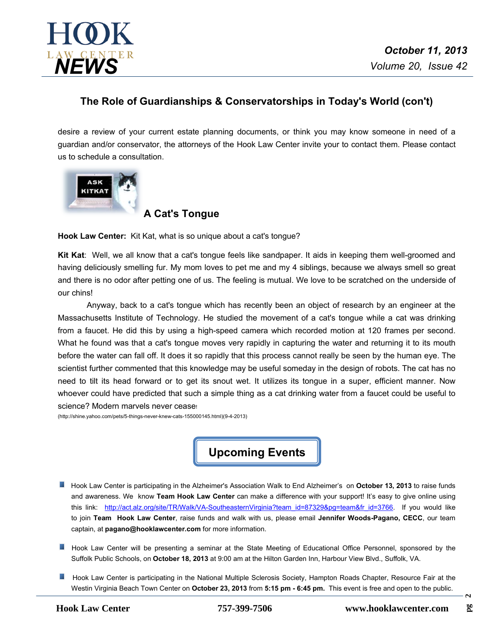

# **The Role of Guardianships & Conservatorships in Today's World (con't)**

desire a review of your current estate planning documents, or think you may know someone in need of a guardian and/or conservator, the attorneys of the Hook Law Center invite your to contact them. Please contact us to schedule a consultation.



**A Cat's Tongue** 

**Hook Law Center:** Kit Kat, what is so unique about a cat's tongue?

**Kit Kat**: Well, we all know that a cat's tongue feels like sandpaper. It aids in keeping them well-groomed and having deliciously smelling fur. My mom loves to pet me and my 4 siblings, because we always smell so great and there is no odor after petting one of us. The feeling is mutual. We love to be scratched on the underside of our chins!

Anyway, back to a cat's tongue which has recently been an object of research by an engineer at the Massachusetts Institute of Technology. He studied the movement of a cat's tongue while a cat was drinking from a faucet. He did this by using a high-speed camera which recorded motion at 120 frames per second. What he found was that a cat's tongue moves very rapidly in capturing the water and returning it to its mouth before the water can fall off. It does it so rapidly that this process cannot really be seen by the human eye. The scientist further commented that this knowledge may be useful someday in the design of robots. The cat has no need to tilt its head forward or to get its snout wet. It utilizes its tongue in a super, efficient manner. Now whoever could have predicted that such a simple thing as a cat drinking water from a faucet could be useful to science? Modern marvels never cease!

(http://shine.yahoo.com/pets/5-things-never-knew-cats-155000145.html)(9-4-2013)

**Upcoming Events**

- Hook Law Center is participating in the Alzheimer's Association Walk to End Alzheimer's on **October 13, 2013** to raise funds and awareness. We know **Team Hook Law Center** can make a difference with your support! It's easy to give online using this link: [http://act.alz.org/site/TR/Walk/VA-SoutheasternVirginia?team\\_id=87329&pg=team&fr\\_id=3766.](http://act.alz.org/site/TR/Walk/VA-SoutheasternVirginia?team_id=87329&pg=team&fr_id=3766) If you would like to join **Team Hook Law Center**, raise funds and walk with us, please email **Jennifer Woods-Pagano, CECC**, our team captain, at **pagano@hooklawcenter.com** for more information.
- Hook Law Center will be presenting a seminar at the State Meeting of Educational Office Personnel, sponsored by the Suffolk Public Schools, on **October 18, 2013** at 9:00 am at the Hilton Garden Inn, Harbour View Blvd., Suffolk, VA.
- Hook Law Center is participating in the National Multiple Sclerosis Society, Hampton Roads Chapter, Resource Fair at the Westin Virginia Beach Town Center on **October 23, 2013** from **5:15 pm -6:45 pm.** This event is free and open to the public.

 $\sim$